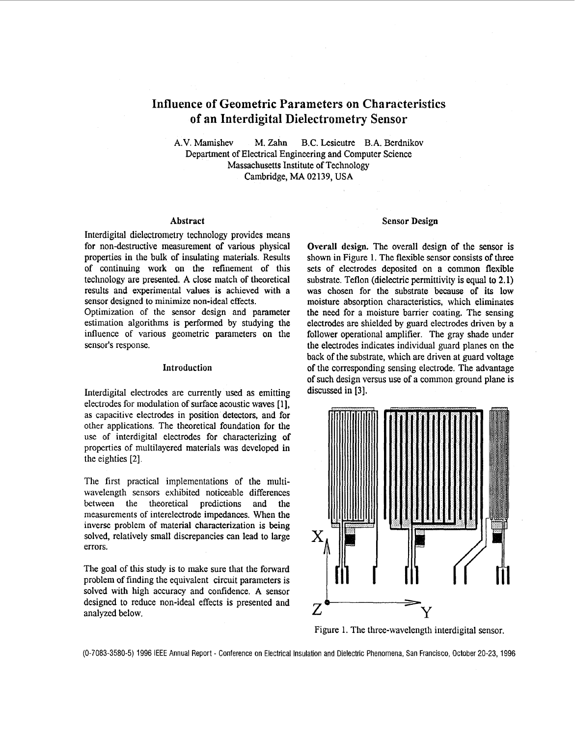# **Influence of Geometric Parameters on Characteristics of an Interdigital Dielectrometry Sensor**

**A.V.** Mamishev M. **Zahn** B.C. Lesieutre **B.A.** Berdnikov Department of Electrical Engineering and Computer Science Massachusetts Institute of Technology Cambridge, **MA 02139, USA** 

### Abstract

Interdigital dielectrometry technology provides means for non-destructive measurement of various physical properties in the bulk of insulating materials. Results of continuing work on the refinement of this technology are presented. **A** close match of theoretical results and experimental values is achieved with a sensor designed to minimize non-ideal effects.

Optimization of the sensor design and parameter estimation algorithms is performed by studying the influence of various geometric parameters on the sensor's response.

## Introduction

Interdigital electrodes are currently used as emitting electrodes for modulation of surface acoustic waves [ 11, **as** capacitive electrodes in position detectors, and for other applications. The theoretical foundation for the use of interdigital electrodes for characterizing of properties of multilayered materials was developed in the eighties [2].

The first practical implementations of the multiwavelength sensors exhibited noticeable differences between the theoretical predictions and the measurements of interelectrode impedances. When the inverse problem of material characterization **is** being solved, relatively small discrepancies can lead to large errors.

The goal of this study is to make sure that the forward problem of finding the equivalent circuit parameters is solved with high accuracy and confidence. **A** sensor designed to reduce non-ideal effects is presented and analyzed below.

#### **Sensor** Design

Overall design. The overall design of the sensor is shown in Figure 1. The flexible sensor consists of three *sets* of electrodes deposited on a common flexible substrate. Teflon (dielectric permittivity is **equal** to **2.1)**  was chosen for the substrate because of its low moisture absorption characteristics, which eliminates the **need** for a moisture barrier coating. The sensing electrodes are shielded by guard electrodes driven by a follower operational amplifier. The gray shade under the electrodes indicates individual guard planes on the back **of** the substrate, which are driven at guard voltage of the corresponding sensing electrode. The advantage of such design versus **use** of a common ground plane is discussed in [3].



Figure 1. The three-wavelength interdigital sensor.

(0-7083-3580-5) 1996 IEEE Annual Report - Conference on Electrical Insulation and Dielectric Phenomena, San Francisco, October 20-23, 1996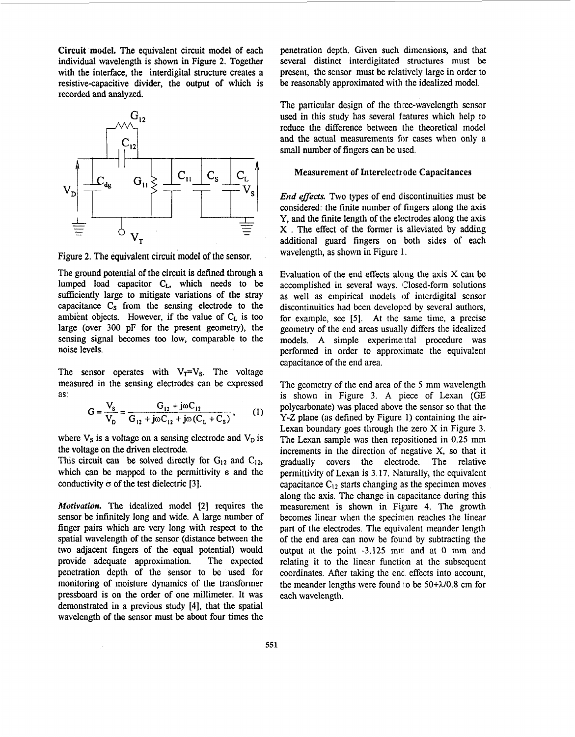Circuit model. The equivalent circuit model of each individual wavelength is shown in Figure **2.** Together with the interface, the interdigital structure creates a resistive-capacitive divider, the output of which is recorded and analyzed.



Figure **2.** The equivalent circuit model of the sensor.

The ground potential of the circuit **is** defined through a lumped load capacitor **CL,** which needs to be sufficiently large to mitigate variations of the stray capacitance  $C_s$  from the sensing electrode to the ambient objects. However, if the value of  $C_L$  is too large (over 300 pF for the present geometry), the sensing signal becomes too low, comparable to the noise levels.

The sensor operates with  $V_T=V_S$ . The voltage measured in the sensing electrodes can be expressed as:

$$
G = \frac{V_s}{V_D} = \frac{G_{12} + j\omega C_{12}}{G_{12} + j\omega C_{12} + j\omega (C_L + C_s)},
$$
 (1)

where  $V_s$  is a voltage on a sensing electrode and  $V_D$  is the voltage on the driven electrode.

This circuit can be solved directly for  $G_{12}$  and  $C_{12}$ , which can be mapped to the permittivity  $\varepsilon$  and the conductivity  $\sigma$  of the test dielectric [3].

*Motivation.* The idealized model **[2]** requires the sensor **be** infinitely long and wide. **A** large number of finger pairs which are very long with respect to the spatial wavelength of the sensor (distance between the two adjacent fingers of the equal potential) would provide adequate approximation. The expected penetration depth of the sensor to be used for monitoring of moisture dynamics of the transformer pressboard is on the order of one millimeter. It was demonstrated in a previous study **[4],** that the spatial wavelength of the sensor must be about four times the

penetration depth. Given such dimensions, and that several distinct interdigitated structures must be present, the sensor must be relatively large in order to be reasonably approximated with the idealized model.

The particular design of the three-wavelength sensor used in this study has several features which help to reduce the difference between the theoretical model and the actual measurements for cases when only a small number of fingers can be used.

### Measurement **of** Interelectrode Capacitances

*End effects*. Two types of end discontinuities must be considered: the finite number of fingers along the axis Y, and the finite length of the electrodes along the axis X . The effect of the former is alleviated **by** adding additional guard fingers on both sides of each wavelength, as shown in Figure 1.

Evaluation of the end effects along the axis  $X$  can be accomplished in several ways. (Closed-form solutions as well as empirical models of interdigital sensor discontinuities had been developed by several authors, for example, see [5]. At the same time, a precise geometry of the end areas usually differs the idealized models. A simple experimental procedure was performed in order to approximate the equivalent capacitance of the end area.

The geometry of the end area of the 5 mm wavelength is shown in [Figure](#page-2-0) **3.** A piece of Lexan (GE polycarbonate) was placed above the sensor so that the Y-Z plane (as defined by Figure 1) containing the air-Lexan boundary goes through the zero X in [Figure](#page-2-0) **3.**  The Lexan sample was then repositioned in 0.25 mm increments in the direction of negative **X,** so that it gradually covers the electrode. The relative permittivity of Lexan is 3.17. Naturally, the equivalent capacitance  $C_{12}$  starts changing as the specimen moves along the axis. The change in capacitance during this measurement is shown in Figure **4.** The growth becomes linear when the specimen reaches the linear part of the electrodes. The equivalent meander length of the end area can now be found by subtracting the output at the point -3.125 **mm** and at 0 **mm** and relating it to the linear function at the subsequent coordinates. After taking the enc. effects into account, the meander lengths were found IO be *50+XJ0.8* cm for each wavelength.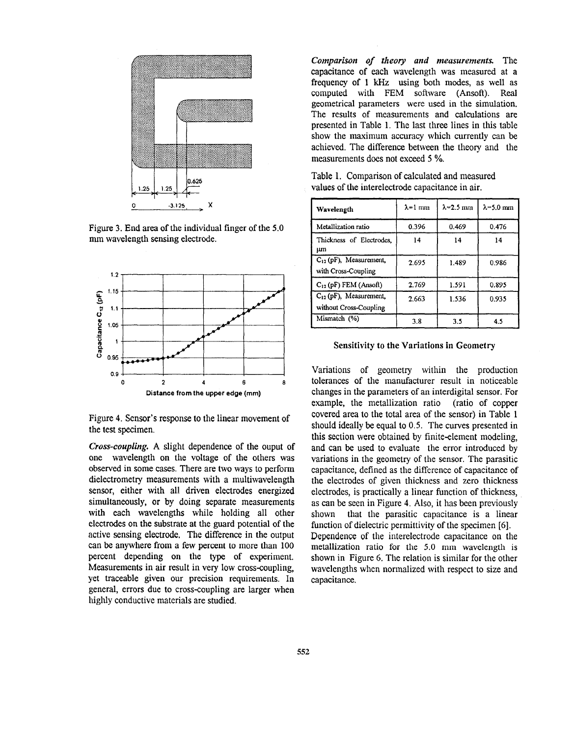<span id="page-2-0"></span>

Figure 3. End area of the individual finger of the 5.0 mm wavelength sensing electrode.



Figure **4.** Sensor's response to the linear movement of the test specimen.

*Cross-coupling.* **A** slight dependence of the ouput of one wavelength on the voltage of the others was observed in some cases. There are two ways to perform dielectrometry measurements with a multiwavelength sensor, either with all driven electrodes energized simultaneously, or by doing separate measurements with each wavelengths while holding all other electrodes on the substrate at the guard potential of the active sensing electrode, The difference in the output can **be** anywhere from a few percent to more than 100 percent depending on the **type** of experiment. Measurements in air result in very low cross-coupling. yet traceable given our precision requirements. In general, errors due to cross-coupling are larger when highly conductive materials are studied.

*Comparison of theory and measurements.* The capacitance of each wavelength was measured at a frequency of 1 kHz using both modes, as well **as**  computed with FEM software (Ansoft). **Real**  geometrical parameters were used in the simulation. The results of measurements and calculations are presented in Table 1. The last three lines in this table show the maximum accuracy which currently can be achieved. The difference between the theory and the measurements does not exceed *5* %.

| Wavelength                                            | $\lambda$ =1 mm | $\lambda$ =2.5 mm | $\lambda$ =5.0 mm |
|-------------------------------------------------------|-----------------|-------------------|-------------------|
| Metallization ratio                                   | 0.396           | 0.469             | 0.476             |
| Thickness of Electrodes,<br>μm                        | 14              | 14                | 14                |
| $C_{12}$ (pF), Measurement,<br>with Cross-Coupling    | 2.695           | 1.489             | 0.986             |
| $C_{12}$ (pF) FEM (Ansoft)                            | 2.769           | 1.591             | 0.895             |
| $C_{12}$ (pF), Measurement,<br>without Cross-Coupling | 2.663           | 1.536             | 0.935             |
| Mismatch (%)                                          | 3.8             | 3.5               | 4.5               |

Table 1. Comparison of calculated and measured values of the interelectrode capacitance in air.

## Sensitivity to the Variations in Geometry

Variations of geometry within the production tolerances of the manufacturer result in noticeable changes in the parameters of an interdigital sensor. For example, the metallization ratio (ratio of copper covered area to the total area of the sensor) in Table 1 should ideally be equal to 0.5. The curves presented in this section were obtained by finite-element modeling, and can be used to evaluate the error introduced by variations in the geometry of the sensor. The parasitic capacitance, defined as the difference of capacitance of the electrodes of given thickness and zero thickness electrodes, is practically a linear function of thickness, as can be seen in Figure **4.** Also, it has been previously shown that the parasitic capacitance is a linear function of dielectric permittivity of the specimen *[6].*  Dependence of the interelectrode capacitance on the metallization ratio for the 5.0 **mm** wavelength is shown in [Figure](#page-3-0) *6.* The relation is similar for the other wavelengths when normalized with respect to size and capacitance.